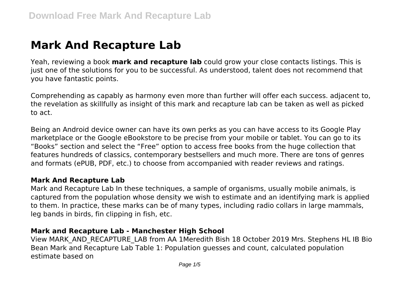# **Mark And Recapture Lab**

Yeah, reviewing a book **mark and recapture lab** could grow your close contacts listings. This is just one of the solutions for you to be successful. As understood, talent does not recommend that you have fantastic points.

Comprehending as capably as harmony even more than further will offer each success. adjacent to, the revelation as skillfully as insight of this mark and recapture lab can be taken as well as picked to act.

Being an Android device owner can have its own perks as you can have access to its Google Play marketplace or the Google eBookstore to be precise from your mobile or tablet. You can go to its "Books" section and select the "Free" option to access free books from the huge collection that features hundreds of classics, contemporary bestsellers and much more. There are tons of genres and formats (ePUB, PDF, etc.) to choose from accompanied with reader reviews and ratings.

## **Mark And Recapture Lab**

Mark and Recapture Lab In these techniques, a sample of organisms, usually mobile animals, is captured from the population whose density we wish to estimate and an identifying mark is applied to them. In practice, these marks can be of many types, including radio collars in large mammals, leg bands in birds, fin clipping in fish, etc.

# **Mark and Recapture Lab - Manchester High School**

View MARK\_AND\_RECAPTURE\_LAB from AA 1Meredith Bish 18 October 2019 Mrs. Stephens HL IB Bio Bean Mark and Recapture Lab Table 1: Population guesses and count, calculated population estimate based on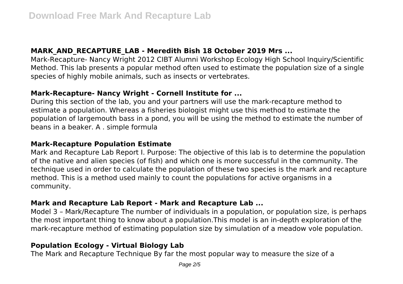## **MARK\_AND\_RECAPTURE\_LAB - Meredith Bish 18 October 2019 Mrs ...**

Mark-Recapture- Nancy Wright 2012 CIBT Alumni Workshop Ecology High School Inquiry/Scientific Method. This lab presents a popular method often used to estimate the population size of a single species of highly mobile animals, such as insects or vertebrates.

## **Mark-Recapture- Nancy Wright - Cornell Institute for ...**

During this section of the lab, you and your partners will use the mark-recapture method to estimate a population. Whereas a fisheries biologist might use this method to estimate the population of largemouth bass in a pond, you will be using the method to estimate the number of beans in a beaker. A . simple formula

# **Mark-Recapture Population Estimate**

Mark and Recapture Lab Report I. Purpose: The objective of this lab is to determine the population of the native and alien species (of fish) and which one is more successful in the community. The technique used in order to calculate the population of these two species is the mark and recapture method. This is a method used mainly to count the populations for active organisms in a community.

# **Mark and Recapture Lab Report - Mark and Recapture Lab ...**

Model 3 – Mark/Recapture The number of individuals in a population, or population size, is perhaps the most important thing to know about a population.This model is an in-depth exploration of the mark-recapture method of estimating population size by simulation of a meadow vole population.

# **Population Ecology - Virtual Biology Lab**

The Mark and Recapture Technique By far the most popular way to measure the size of a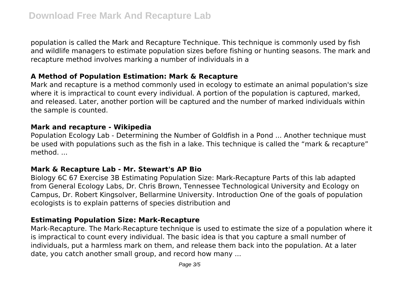population is called the Mark and Recapture Technique. This technique is commonly used by fish and wildlife managers to estimate population sizes before fishing or hunting seasons. The mark and recapture method involves marking a number of individuals in a

## **A Method of Population Estimation: Mark & Recapture**

Mark and recapture is a method commonly used in ecology to estimate an animal population's size where it is impractical to count every individual. A portion of the population is captured, marked, and released. Later, another portion will be captured and the number of marked individuals within the sample is counted.

#### **Mark and recapture - Wikipedia**

Population Ecology Lab - Determining the Number of Goldfish in a Pond ... Another technique must be used with populations such as the fish in a lake. This technique is called the "mark & recapture" method. ...

#### **Mark & Recapture Lab - Mr. Stewart's AP Bio**

Biology 6C 67 Exercise 3B Estimating Population Size: Mark-Recapture Parts of this lab adapted from General Ecology Labs, Dr. Chris Brown, Tennessee Technological University and Ecology on Campus, Dr. Robert Kingsolver, Bellarmine University. Introduction One of the goals of population ecologists is to explain patterns of species distribution and

## **Estimating Population Size: Mark-Recapture**

Mark-Recapture. The Mark-Recapture technique is used to estimate the size of a population where it is impractical to count every individual. The basic idea is that you capture a small number of individuals, put a harmless mark on them, and release them back into the population. At a later date, you catch another small group, and record how many ...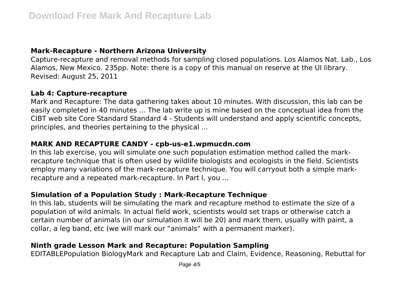## **Mark-Recapture - Northern Arizona University**

Capture-recapture and removal methods for sampling closed populations. Los Alamos Nat. Lab., Los Alamos, New Mexico. 235pp. Note: there is a copy of this manual on reserve at the UI library. Revised: August 25, 2011

#### **Lab 4: Capture-recapture**

Mark and Recapture: The data gathering takes about 10 minutes. With discussion, this lab can be easily completed in 40 minutes ... The lab write up is mine based on the conceptual idea from the CIBT web site Core Standard Standard 4 - Students will understand and apply scientific concepts, principles, and theories pertaining to the physical ...

## **MARK AND RECAPTURE CANDY - cpb-us-e1.wpmucdn.com**

In this lab exercise, you will simulate one such population estimation method called the markrecapture technique that is often used by wildlife biologists and ecologists in the field. Scientists employ many variations of the mark-recapture technique. You will carryout both a simple markrecapture and a repeated mark-recapture. In Part I, you ...

# **Simulation of a Population Study : Mark-Recapture Technique**

In this lab, students will be simulating the mark and recapture method to estimate the size of a population of wild animals. In actual field work, scientists would set traps or otherwise catch a certain number of animals (in our simulation it will be 20) and mark them, usually with paint, a collar, a leg band, etc (we will mark our "animals" with a permanent marker).

# **Ninth grade Lesson Mark and Recapture: Population Sampling**

EDITABLEPopulation BiologyMark and Recapture Lab and Claim, Evidence, Reasoning, Rebuttal for